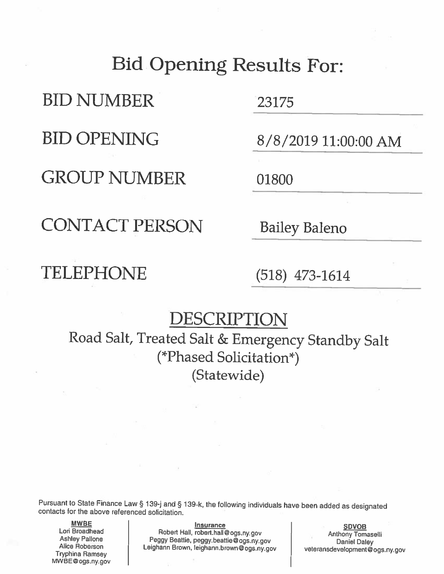## **Bid Opening Results For:**

**BID NUMBER** 

**BID OPENING** 

**GROUP NUMBER** 

23175

8/8/2019 11:00:00 AM

01800

**CONTACT PERSON** 

**Bailey Baleno** 

## **TELEPHONE**

 $(518)$  473-1614

## DESCRIPTION

Road Salt, Treated Salt & Emergency Standby Salt (\*Phased Solicitation\*) (Statewide)

Pursuant to State Finance Law § 139-j and § 139-k, the following individuals have been added as designated contacts for the above referenced solicitation.

**MWBE** Lori Broadhead **Ashley Pallone** Alice Roberson **Tryphina Ramsey** MWBE@ogs.ny.gov

**Insurance** Robert Hall, robert.hall@ogs.ny.gov Peggy Beattie, peggy.beattie@ogs.ny.gov Leighann Brown, leighann.brown@ogs.ny.gov

**SDVOB** Anthony Tomaselli **Daniel Daley** veteransdevelopment@ogs.ny.gov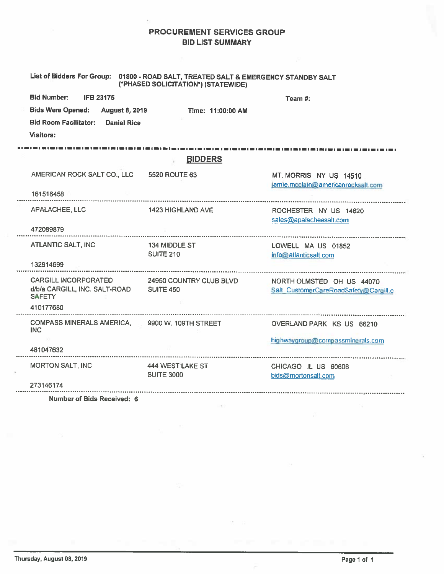## PROCUREMENT SERVICES GROUP **BID LIST SUMMARY**

|                                                              | List of Bidders For Group: 01800 - ROAD SALT, TREATED SALT & EMERGENCY STANDBY SALT<br>(*PHASED SOLICITATION*) (STATEWIDE) |                                                              |
|--------------------------------------------------------------|----------------------------------------------------------------------------------------------------------------------------|--------------------------------------------------------------|
| <b>Bid Number:</b><br><b>IFB 23175</b>                       |                                                                                                                            | Team #:                                                      |
| <b>Bids Were Opened:</b><br><b>August 8, 2019</b>            | Time: 11:00:00 AM                                                                                                          |                                                              |
| <b>Bid Room Facilitator:</b> Daniel Rice                     |                                                                                                                            |                                                              |
| <b>Visitors:</b>                                             |                                                                                                                            |                                                              |
|                                                              | <b>BIDDERS</b>                                                                                                             |                                                              |
|                                                              |                                                                                                                            |                                                              |
| AMERICAN ROCK SALT CO., LLC 5520 ROUTE 63                    |                                                                                                                            | MT. MORRIS NY US 14510<br>jamie.mcclain@americanrocksalt.com |
| 161516458                                                    |                                                                                                                            |                                                              |
| APALACHEE, LLC                                               | <b>1423 HIGHLAND AVE</b>                                                                                                   | ROCHESTER NY US 14620<br>sales@apalacheesalt.com             |
| 472089879                                                    |                                                                                                                            |                                                              |
| <b>ATLANTIC SALT, INC</b>                                    | 134 MIDDLE ST<br><b>SUITE 210</b>                                                                                          | LOWELL MA US 01852                                           |
| 132914699                                                    |                                                                                                                            | info@atlanticsalt.com                                        |
| CARGILL INCORPORATED 24950 COUNTRY CLUB BLVD                 |                                                                                                                            | NORTH OLMSTED OH US 44070                                    |
| d/b/a CARGILL, INC. SALT-ROAD SUITE 450<br><b>SAFETY</b>     |                                                                                                                            | Salt CustomerCareRoadSafety@Cargill.c                        |
| 410177680                                                    |                                                                                                                            |                                                              |
| COMPASS MINERALS AMERICA, 9900 W. 109TH STREET<br><b>INC</b> |                                                                                                                            | OVERLAND PARK KS US 66210                                    |
|                                                              |                                                                                                                            | highwaygroup@compassminerals.com                             |
| 481047632                                                    |                                                                                                                            |                                                              |
| <b>MORTON SALT, INC</b>                                      | 444 WEST LAKE ST                                                                                                           | CHICAGO IL US 60606                                          |
| 273146174                                                    | <b>SUITE 3000</b>                                                                                                          | bids@mortonsalt.com                                          |
|                                                              |                                                                                                                            |                                                              |

Number of Bids Received: 6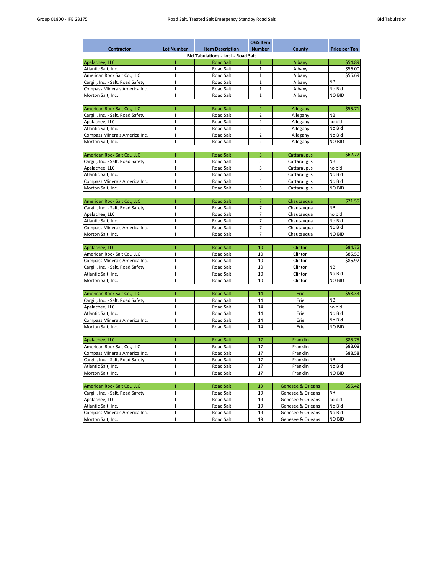| <b>OGS Item</b>                   |                   |                                            |                |                              |                      |  |  |
|-----------------------------------|-------------------|--------------------------------------------|----------------|------------------------------|----------------------|--|--|
| <b>Contractor</b>                 | <b>Lot Number</b> | <b>Item Description</b>                    | <b>Number</b>  | <b>County</b>                | <b>Price per Ton</b> |  |  |
|                                   |                   | <b>Bid Tabulations - Lot I - Road Salt</b> |                |                              |                      |  |  |
| Apalachee, LLC                    |                   | <b>Road Salt</b>                           | $\mathbf{1}$   | Albany                       | \$54.89              |  |  |
| Atlantic Salt, Inc.               |                   | <b>Road Salt</b>                           | $\mathbf{1}$   | Albany                       | \$56.00              |  |  |
| American Rock Salt Co., LLC       |                   | <b>Road Salt</b>                           | $\mathbf{1}$   | Albany                       | \$56.69              |  |  |
| Cargill, Inc. - Salt, Road Safety |                   | <b>Road Salt</b>                           | $\mathbf{1}$   | Albany                       | NB                   |  |  |
| Compass Minerals America Inc.     |                   | <b>Road Salt</b>                           | $\mathbf{1}$   | Albany                       | No Bid               |  |  |
| Morton Salt, Inc.                 |                   | <b>Road Salt</b>                           | $\mathbf{1}$   | Albany                       | <b>NO BID</b>        |  |  |
|                                   |                   |                                            |                |                              |                      |  |  |
| American Rock Salt Co., LLC       |                   | <b>Road Salt</b>                           | $\overline{2}$ | Allegany                     | \$55.71              |  |  |
| Cargill, Inc. - Salt, Road Safety |                   | <b>Road Salt</b>                           | $\overline{2}$ | Allegany                     | <b>NB</b>            |  |  |
| Apalachee, LLC                    |                   | <b>Road Salt</b>                           | $\overline{2}$ | Allegany                     | no bid               |  |  |
| Atlantic Salt, Inc.               |                   | <b>Road Salt</b>                           | $\overline{2}$ | Allegany                     | No Bid               |  |  |
| Compass Minerals America Inc.     |                   | <b>Road Salt</b>                           | $\overline{2}$ | Allegany                     | No Bid               |  |  |
| Morton Salt, Inc.                 |                   | <b>Road Salt</b>                           | $\overline{2}$ | Allegany                     | <b>NO BID</b>        |  |  |
|                                   |                   |                                            |                |                              |                      |  |  |
| American Rock Salt Co., LLC       |                   | <b>Road Salt</b>                           | 5              | Cattaraugus                  | \$62.77              |  |  |
| Cargill, Inc. - Salt, Road Safety |                   | <b>Road Salt</b>                           | 5              | Cattaraugus                  | NB                   |  |  |
| Apalachee, LLC                    |                   | <b>Road Salt</b>                           | 5              | Cattaraugus                  | no bid               |  |  |
| Atlantic Salt, Inc.               |                   | <b>Road Salt</b>                           | 5              | Cattaraugus                  | No Bid               |  |  |
| Compass Minerals America Inc.     |                   | <b>Road Salt</b>                           | 5              | Cattaraugus                  | No Bid               |  |  |
| Morton Salt, Inc.                 |                   | <b>Road Salt</b>                           | 5              |                              | <b>NO BID</b>        |  |  |
|                                   |                   |                                            |                | Cattaraugus                  |                      |  |  |
| American Rock Salt Co., LLC       |                   | <b>Road Salt</b>                           | $\overline{7}$ |                              | \$71.55              |  |  |
|                                   |                   | <b>Road Salt</b>                           | 7              | Chautauqua                   | NB                   |  |  |
| Cargill, Inc. - Salt, Road Safety |                   |                                            | $\overline{7}$ | Chautauqua                   |                      |  |  |
| Apalachee, LLC                    |                   | <b>Road Salt</b>                           |                | Chautauqua                   | no bid               |  |  |
| Atlantic Salt, Inc.               |                   | <b>Road Salt</b>                           | $\overline{7}$ | Chautauqua                   | No Bid               |  |  |
| Compass Minerals America Inc.     |                   | <b>Road Salt</b>                           | $\overline{7}$ | Chautauqua                   | No Bid               |  |  |
| Morton Salt, Inc.                 |                   | <b>Road Salt</b>                           | $\overline{7}$ | Chautauqua                   | <b>NO BID</b>        |  |  |
|                                   |                   |                                            |                |                              |                      |  |  |
| Apalachee, LLC                    |                   | <b>Road Salt</b>                           | 10             | Clinton                      | \$84.75              |  |  |
| American Rock Salt Co., LLC       |                   | <b>Road Salt</b>                           | 10             | Clinton                      | \$85.56              |  |  |
| Compass Minerals America Inc.     |                   | <b>Road Salt</b>                           | 10             | Clinton                      | \$86.97              |  |  |
| Cargill, Inc. - Salt, Road Safety |                   | Road Salt                                  | 10             | Clinton                      | <b>NB</b>            |  |  |
| Atlantic Salt, Inc.               |                   | Road Salt                                  | 10             | Clinton                      | No Bid               |  |  |
| Morton Salt, Inc.                 |                   | Road Salt                                  | 10             | Clinton                      | <b>NO BID</b>        |  |  |
|                                   |                   |                                            |                |                              |                      |  |  |
| American Rock Salt Co., LLC       |                   | <b>Road Salt</b>                           | 14             | Erie                         | \$58.33              |  |  |
| Cargill, Inc. - Salt, Road Safety |                   | Road Salt                                  | 14             | Erie                         | <b>NB</b>            |  |  |
| Apalachee, LLC                    |                   | Road Salt                                  | 14             | Erie                         | no bid               |  |  |
| Atlantic Salt, Inc.               |                   | Road Salt                                  | 14             | Erie                         | No Bid               |  |  |
| Compass Minerals America Inc.     |                   | Road Salt                                  | 14             | Erie                         | No Bid               |  |  |
| Morton Salt, Inc.                 |                   | Road Salt                                  | 14             | Erie                         | <b>NO BID</b>        |  |  |
|                                   |                   |                                            |                |                              |                      |  |  |
| Apalachee, LLC                    |                   | <b>Road Salt</b>                           | 17             | Franklin                     | \$85.75              |  |  |
| American Rock Salt Co., LLC       |                   | Road Salt                                  | 17             | Franklin                     | \$88.08              |  |  |
| Compass Minerals America Inc.     |                   | Road Salt                                  | 17             | Franklin                     | \$88.58              |  |  |
| Cargill, Inc. - Salt, Road Safety |                   | Road Salt                                  | 17             | Franklin                     | <b>NB</b>            |  |  |
| Atlantic Salt, Inc.               |                   | Road Salt                                  | 17             | Franklin                     | No Bid               |  |  |
| Morton Salt, Inc.                 |                   | Road Salt                                  | 17             | Franklin                     | <b>NO BID</b>        |  |  |
|                                   |                   |                                            |                |                              |                      |  |  |
| American Rock Salt Co., LLC       |                   | <b>Road Salt</b>                           | 19             | <b>Genesee &amp; Orleans</b> | \$55.42              |  |  |
| Cargill, Inc. - Salt, Road Safety |                   | Road Salt                                  | 19             | Genesee & Orleans            | <b>NB</b>            |  |  |
| Apalachee, LLC                    |                   | Road Salt                                  | 19             | Genesee & Orleans            | no bid               |  |  |
| Atlantic Salt, Inc.               |                   | Road Salt                                  | 19             | Genesee & Orleans            | No Bid               |  |  |

| Compass Minerals America Inc. | $\overline{\phantom{a}}$<br>Road Salt    | . .<br>-- | Orleans<br>Genesee<br>୪∡ | No Bid        |
|-------------------------------|------------------------------------------|-----------|--------------------------|---------------|
| Morton Salt,<br>-Inc.         | $\overline{\phantom{0}}$<br>Salt<br>Road | --        | Orleans<br>Genesee<br>х, | <b>NO BID</b> |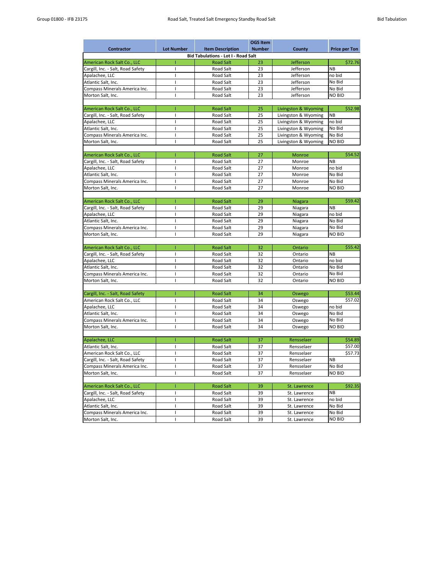|                                   |                                            |                         | <b>OGS Item</b> |                      |                      |  |  |  |  |
|-----------------------------------|--------------------------------------------|-------------------------|-----------------|----------------------|----------------------|--|--|--|--|
| <b>Contractor</b>                 | <b>Lot Number</b>                          | <b>Item Description</b> | <b>Number</b>   | <b>County</b>        | <b>Price per Ton</b> |  |  |  |  |
|                                   | <b>Bid Tabulations - Lot I - Road Salt</b> |                         |                 |                      |                      |  |  |  |  |
| American Rock Salt Co., LLC       |                                            | <b>Road Salt</b>        | 23              | Jefferson            | \$72.76              |  |  |  |  |
| Cargill, Inc. - Salt, Road Safety |                                            | <b>Road Salt</b>        | 23              | Jefferson            | <b>NB</b>            |  |  |  |  |
| Apalachee, LLC                    |                                            | <b>Road Salt</b>        | 23              | Jefferson            | no bid               |  |  |  |  |
| Atlantic Salt, Inc.               |                                            | <b>Road Salt</b>        | 23              | Jefferson            | No Bid               |  |  |  |  |
| Compass Minerals America Inc.     |                                            | <b>Road Salt</b>        | 23              | Jefferson            | No Bid               |  |  |  |  |
| Morton Salt, Inc.                 |                                            | <b>Road Salt</b>        | 23              | Jefferson            | <b>NO BID</b>        |  |  |  |  |
|                                   |                                            |                         |                 |                      |                      |  |  |  |  |
| American Rock Salt Co., LLC       |                                            | <b>Road Salt</b>        | 25              | Livingston & Wyoming | \$52.98              |  |  |  |  |
| Cargill, Inc. - Salt, Road Safety |                                            | <b>Road Salt</b>        | 25              | Livingston & Wyoming | <b>NB</b>            |  |  |  |  |
| Apalachee, LLC                    |                                            | <b>Road Salt</b>        | 25              | Livingston & Wyoming | no bid               |  |  |  |  |
| Atlantic Salt, Inc.               |                                            | <b>Road Salt</b>        | 25              | Livingston & Wyoming | No Bid               |  |  |  |  |
| Compass Minerals America Inc.     |                                            | <b>Road Salt</b>        | 25              | Livingston & Wyoming | No Bid               |  |  |  |  |
|                                   |                                            | <b>Road Salt</b>        | 25              | Livingston & Wyoming | <b>NO BID</b>        |  |  |  |  |
| Morton Salt, Inc.                 |                                            |                         |                 |                      |                      |  |  |  |  |
| American Rock Salt Co., LLC       |                                            | <b>Road Salt</b>        | 27              | Monroe               | \$54.52              |  |  |  |  |
|                                   |                                            | <b>Road Salt</b>        | 27              | Monroe               | <b>NB</b>            |  |  |  |  |
| Cargill, Inc. - Salt, Road Safety |                                            |                         |                 |                      |                      |  |  |  |  |
| Apalachee, LLC                    |                                            | <b>Road Salt</b>        | 27              | Monroe               | no bid               |  |  |  |  |
| Atlantic Salt, Inc.               |                                            | <b>Road Salt</b>        | 27              | Monroe               | No Bid               |  |  |  |  |
| Compass Minerals America Inc.     |                                            | <b>Road Salt</b>        | 27              | Monroe               | No Bid               |  |  |  |  |
| Morton Salt, Inc.                 |                                            | <b>Road Salt</b>        | 27              | Monroe               | <b>NO BID</b>        |  |  |  |  |
|                                   |                                            |                         |                 |                      |                      |  |  |  |  |
| American Rock Salt Co., LLC       |                                            | <b>Road Salt</b>        | 29              | <b>Niagara</b>       | \$59.42              |  |  |  |  |
| Cargill, Inc. - Salt, Road Safety |                                            | <b>Road Salt</b>        | 29              | Niagara              | NB                   |  |  |  |  |
| Apalachee, LLC                    |                                            | <b>Road Salt</b>        | 29              | Niagara              | no bid               |  |  |  |  |
| Atlantic Salt, Inc.               |                                            | <b>Road Salt</b>        | 29              | Niagara              | No Bid               |  |  |  |  |
| Compass Minerals America Inc.     |                                            | <b>Road Salt</b>        | 29              | Niagara              | No Bid               |  |  |  |  |
| Morton Salt, Inc.                 |                                            | <b>Road Salt</b>        | 29              | Niagara              | <b>NO BID</b>        |  |  |  |  |
|                                   |                                            |                         |                 |                      |                      |  |  |  |  |
| American Rock Salt Co., LLC       |                                            | <b>Road Salt</b>        | 32              | Ontario              | \$55.42              |  |  |  |  |
| Cargill, Inc. - Salt, Road Safety |                                            | <b>Road Salt</b>        | 32              | Ontario              | <b>NB</b>            |  |  |  |  |
| Apalachee, LLC                    |                                            | Road Salt               | 32              | Ontario              | no bid               |  |  |  |  |
| Atlantic Salt, Inc.               |                                            | Road Salt               | 32              | Ontario              | No Bid               |  |  |  |  |
| Compass Minerals America Inc.     |                                            | Road Salt               | 32              | Ontario              | No Bid               |  |  |  |  |
| Morton Salt, Inc.                 |                                            | Road Salt               | 32              | Ontario              | NO BID               |  |  |  |  |
|                                   |                                            |                         |                 |                      |                      |  |  |  |  |
| Cargill, Inc. - Salt, Road Safety |                                            | <b>Road Salt</b>        | 34              | Oswego               | \$53.44              |  |  |  |  |
| American Rock Salt Co., LLC       |                                            | Road Salt               | 34              | Oswego               | \$57.02              |  |  |  |  |
| Apalachee, LLC                    |                                            | Road Salt               | 34              | Oswego               | no bid               |  |  |  |  |
| Atlantic Salt, Inc.               |                                            | Road Salt               | 34              | Oswego               | No Bid               |  |  |  |  |
| Compass Minerals America Inc.     |                                            | Road Salt               | 34              | Oswego               | No Bid               |  |  |  |  |
| Morton Salt, Inc.                 |                                            | Road Salt               | 34              | Oswego               | NO BID               |  |  |  |  |
|                                   |                                            |                         |                 |                      |                      |  |  |  |  |
| Apalachee, LLC                    |                                            | <b>Road Salt</b>        | 37              | Rensselaer           | \$54.89              |  |  |  |  |
| Atlantic Salt, Inc.               |                                            | Road Salt               | 37              | Rensselaer           | \$57.00              |  |  |  |  |
| American Rock Salt Co., LLC       |                                            | Road Salt               | 37              | Rensselaer           | \$57.73              |  |  |  |  |
| Cargill, Inc. - Salt, Road Safety |                                            | Road Salt               | 37              | Rensselaer           | <b>NB</b>            |  |  |  |  |
| Compass Minerals America Inc.     |                                            | Road Salt               | 37              | Rensselaer           | No Bid               |  |  |  |  |
| Morton Salt, Inc.                 |                                            | Road Salt               | 37              | Rensselaer           | NO BID               |  |  |  |  |
|                                   |                                            |                         |                 |                      |                      |  |  |  |  |
| American Rock Salt Co., LLC       |                                            | <b>Road Salt</b>        | 39              | St. Lawrence         | \$92.35              |  |  |  |  |
|                                   |                                            |                         |                 |                      | <b>NB</b>            |  |  |  |  |
| Cargill, Inc. - Salt, Road Safety |                                            | Road Salt               | 39              | St. Lawrence         |                      |  |  |  |  |
| Apalachee, LLC                    |                                            | Road Salt               | 39              | St. Lawrence         | no bid               |  |  |  |  |
| Atlantic Salt, Inc.               |                                            | Road Salt               | 39              | St. Lawrence         | No Bid               |  |  |  |  |

| Compass Minerals America Inc. | $\sim$<br>Salt<br>Road | $\Omega$<br>-- | Lawrence<br>υı. | No Bid |
|-------------------------------|------------------------|----------------|-----------------|--------|
| Morton<br>-Salt.<br>Inc.      | $\sim$<br>Salt<br>Road | n c<br>--      | Lawrence<br>οι. | NO BID |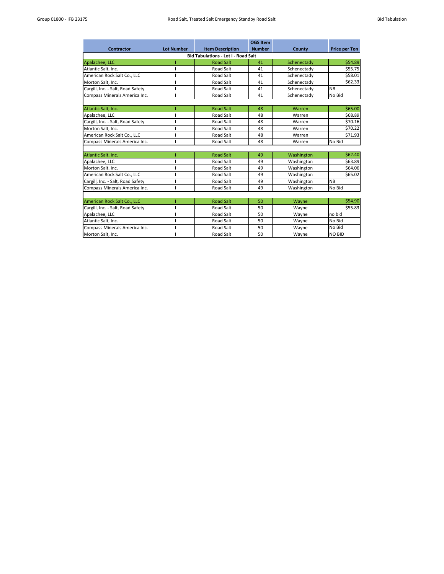|                                            |                   |                         | <b>OGS Item</b> |               |                      |  |  |  |  |
|--------------------------------------------|-------------------|-------------------------|-----------------|---------------|----------------------|--|--|--|--|
| <b>Contractor</b>                          | <b>Lot Number</b> | <b>Item Description</b> | <b>Number</b>   | <b>County</b> | <b>Price per Ton</b> |  |  |  |  |
| <b>Bid Tabulations - Lot I - Road Salt</b> |                   |                         |                 |               |                      |  |  |  |  |
| Apalachee, LLC                             |                   | <b>Road Salt</b>        | 41              | Schenectady   | \$54.89              |  |  |  |  |
| Atlantic Salt, Inc.                        |                   | <b>Road Salt</b>        | 41              | Schenectady   | \$55.75              |  |  |  |  |
| American Rock Salt Co., LLC                |                   | <b>Road Salt</b>        | 41              | Schenectady   | \$58.01              |  |  |  |  |
| Morton Salt, Inc.                          |                   | <b>Road Salt</b>        | 41              | Schenectady   | \$62.33              |  |  |  |  |
| Cargill, Inc. - Salt, Road Safety          |                   | <b>Road Salt</b>        | 41              | Schenectady   | <b>NB</b>            |  |  |  |  |
| Compass Minerals America Inc.              |                   | <b>Road Salt</b>        | 41              | Schenectady   | No Bid               |  |  |  |  |
|                                            |                   |                         |                 |               |                      |  |  |  |  |
| Atlantic Salt, Inc.                        |                   | <b>Road Salt</b>        | 48              | Warren        | \$65.00              |  |  |  |  |
| Apalachee, LLC                             |                   | <b>Road Salt</b>        | 48              | Warren        | \$68.89              |  |  |  |  |
| Cargill, Inc. - Salt, Road Safety          |                   | <b>Road Salt</b>        | 48              | Warren        | \$70.16              |  |  |  |  |
| Morton Salt, Inc.                          |                   | <b>Road Salt</b>        | 48              | Warren        | \$70.22              |  |  |  |  |
| American Rock Salt Co., LLC                |                   | <b>Road Salt</b>        | 48              | Warren        | \$71.93              |  |  |  |  |
| Compass Minerals America Inc.              |                   | <b>Road Salt</b>        | 48              | Warren        | No Bid               |  |  |  |  |
| Atlantic Salt, Inc.                        |                   | <b>Road Salt</b>        | 49              | Washington    | \$62.40              |  |  |  |  |
| Apalachee, LLC                             |                   | <b>Road Salt</b>        | 49              | Washington    | \$63.89              |  |  |  |  |
| Morton Salt, Inc.                          |                   | <b>Road Salt</b>        | 49              | Washington    | \$64.06              |  |  |  |  |
| American Rock Salt Co., LLC                |                   | <b>Road Salt</b>        | 49              | Washington    | \$65.02              |  |  |  |  |
| Cargill, Inc. - Salt, Road Safety          |                   | <b>Road Salt</b>        | 49              | Washington    | <b>NB</b>            |  |  |  |  |
| Compass Minerals America Inc.              |                   | <b>Road Salt</b>        | 49              | Washington    | No Bid               |  |  |  |  |
|                                            |                   |                         |                 |               |                      |  |  |  |  |
| American Rock Salt Co., LLC                |                   | <b>Road Salt</b>        | 50              | Wayne         | \$54.90              |  |  |  |  |
| Cargill, Inc. - Salt, Road Safety          |                   | <b>Road Salt</b>        | 50              | Wayne         | \$55.83              |  |  |  |  |
| Apalachee, LLC                             |                   | <b>Road Salt</b>        | 50              | Wayne         | no bid               |  |  |  |  |
| Atlantic Salt, Inc.                        |                   | <b>Road Salt</b>        | 50              | Wayne         | No Bid               |  |  |  |  |
| Compass Minerals America Inc.              |                   | <b>Road Salt</b>        | 50              | Wayne         | No Bid               |  |  |  |  |
| Morton Salt, Inc.                          |                   | <b>Road Salt</b>        | 50              | Wayne         | <b>NO BID</b>        |  |  |  |  |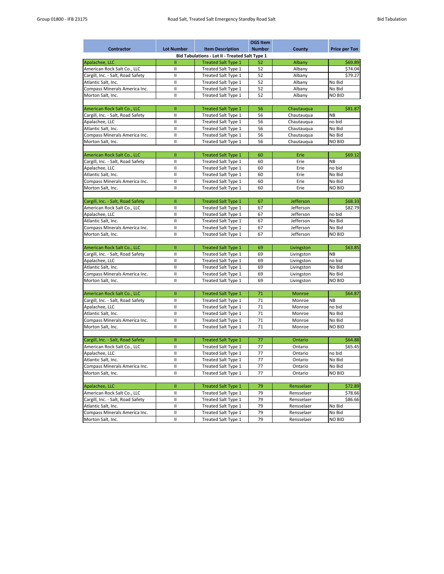|                                   |                   |                                                       | <b>OGS Item</b> |               |                      |
|-----------------------------------|-------------------|-------------------------------------------------------|-----------------|---------------|----------------------|
| <b>Contractor</b>                 | <b>Lot Number</b> | <b>Item Description</b>                               | <b>Number</b>   | <b>County</b> | <b>Price per Ton</b> |
|                                   |                   | <b>Bid Tabulations - Lot II - Treated Salt Type 1</b> |                 |               |                      |
| Apalachee, LLC                    | Ш                 | <b>Treated Salt Type 1</b>                            | 52              | Albany        | \$69.89              |
| American Rock Salt Co., LLC       | $\mathbf{H}$      | Treated Salt Type 1                                   | 52              | Albany        | \$74.04              |
| Cargill, Inc. - Salt, Road Safety | $\mathbf{I}$      | <b>Treated Salt Type 1</b>                            | 52              | Albany        | \$79.27              |
| Atlantic Salt, Inc.               | Ш                 | <b>Treated Salt Type 1</b>                            | 52              | Albany        | No Bid               |
| Compass Minerals America Inc.     | Ш                 | Treated Salt Type 1                                   | 52              | Albany        | No Bid               |
| Morton Salt, Inc.                 | Ш                 | <b>Treated Salt Type 1</b>                            | 52              | Albany        | <b>NO BID</b>        |
|                                   |                   |                                                       |                 |               |                      |
| American Rock Salt Co., LLC       | Ш                 | <b>Treated Salt Type 1</b>                            | 56              | Chautauqua    | \$81.87              |
| Cargill, Inc. - Salt, Road Safety | Ш                 | <b>Treated Salt Type 1</b>                            | 56              | Chautauqua    | <b>NB</b>            |
| Apalachee, LLC                    | Ш                 | <b>Treated Salt Type 1</b>                            | 56              | Chautauqua    | no bid               |
| Atlantic Salt, Inc.               | $\mathbf{H}$      | <b>Treated Salt Type 1</b>                            | 56              | Chautauqua    | No Bid               |
| Compass Minerals America Inc.     | Ш                 | <b>Treated Salt Type 1</b>                            | 56              | Chautauqua    | No Bid               |
| Morton Salt, Inc.                 | Ш                 | Treated Salt Type 1                                   | 56              | Chautauqua    | <b>NO BID</b>        |
|                                   |                   |                                                       |                 |               |                      |
| American Rock Salt Co., LLC       | $\mathbf{II}$     | <b>Treated Salt Type 1</b>                            | 60              | Erie          | \$69.12              |
| Cargill, Inc. - Salt, Road Safety | Ш                 | <b>Treated Salt Type 1</b>                            | 60              | Erie          | <b>NB</b>            |
| Apalachee, LLC                    | Ш                 | <b>Treated Salt Type 1</b>                            | 60              | Erie          | no bid               |
| Atlantic Salt, Inc.               | Ш                 | <b>Treated Salt Type 1</b>                            | 60              | Erie          | No Bid               |
| Compass Minerals America Inc.     | Ш                 | Treated Salt Type 1                                   | 60              | Erie          | No Bid               |
| Morton Salt, Inc.                 | $\mathbf{H}$      | <b>Treated Salt Type 1</b>                            | 60              | Erie          | <b>NO BID</b>        |
|                                   |                   |                                                       |                 |               |                      |
| Cargill, Inc. - Salt, Road Safety | П.                | <b>Treated Salt Type 1</b>                            | 67              | Jefferson     | \$68.33              |
| American Rock Salt Co., LLC       | Ш                 | <b>Treated Salt Type 1</b>                            | 67              | Jefferson     | \$82.79              |
| Apalachee, LLC                    | Ш                 |                                                       | 67              | Jefferson     | no bid               |
|                                   |                   | Treated Salt Type 1                                   |                 |               |                      |
| Atlantic Salt, Inc.               | Ш                 | Treated Salt Type 1                                   | 67              | Jefferson     | No Bid               |
| Compass Minerals America Inc.     | $\mathbf{I}$      | <b>Treated Salt Type 1</b>                            | 67              | Jefferson     | No Bid               |
| Morton Salt, Inc.                 | $\mathbf{I}$      | Treated Salt Type 1                                   | 67              | Jefferson     | <b>NO BID</b>        |
|                                   |                   |                                                       |                 |               |                      |
| American Rock Salt Co., LLC       | П.                | <b>Treated Salt Type 1</b>                            | 69              | Livingston    | \$63.85              |
| Cargill, Inc. - Salt, Road Safety | Ш                 | <b>Treated Salt Type 1</b>                            | 69              | Livingston    | <b>NB</b>            |
| Apalachee, LLC                    | Ш                 | Treated Salt Type 1                                   | 69              | Livingston    | no bid               |
| Atlantic Salt, Inc.               | Ш                 | Treated Salt Type 1                                   | 69              | Livingston    | No Bid               |
| Compass Minerals America Inc.     | Ш                 | <b>Treated Salt Type 1</b>                            | 69              | Livingston    | No Bid               |
| Morton Salt, Inc.                 | Ш                 | Treated Salt Type 1                                   | 69              | Livingston    | <b>NO BID</b>        |
|                                   |                   |                                                       |                 |               |                      |
| American Rock Salt Co., LLC       | Ш                 | <b>Treated Salt Type 1</b>                            | 71              | Monroe        | \$64.87              |
| Cargill, Inc. - Salt, Road Safety | Ш                 | Treated Salt Type 1                                   | 71              | Monroe        | <b>NB</b>            |
| Apalachee, LLC                    | Ш                 | Treated Salt Type 1                                   | 71              | Monroe        | no bid               |
| Atlantic Salt, Inc.               | Ш                 | Treated Salt Type 1                                   | 71              | Monroe        | No Bid               |
| Compass Minerals America Inc.     | Ш                 | Treated Salt Type 1                                   | 71              | Monroe        | No Bid               |
| Morton Salt, Inc.                 | Ш                 | Treated Salt Type 1                                   | 71              | Monroe        | <b>NO BID</b>        |
|                                   |                   |                                                       |                 |               |                      |
| Cargill, Inc. - Salt, Road Safety | Ш                 | <b>Treated Salt Type 1</b>                            | 77              | Ontario       | \$64.88              |
| American Rock Salt Co., LLC       | Ш                 | Treated Salt Type 1                                   | 77              | Ontario       | \$65.45              |
| Apalachee, LLC                    | Ш                 | Treated Salt Type 1                                   | 77              | Ontario       | no bid               |
| Atlantic Salt, Inc.               | Ш                 | Treated Salt Type 1                                   | 77              | Ontario       | No Bid               |
| Compass Minerals America Inc.     | Ш                 | Treated Salt Type 1                                   | 77              | Ontario       | No Bid               |
| Morton Salt, Inc.                 | $\mathbf{H}$      | <b>Treated Salt Type 1</b>                            | 77              | Ontario       | <b>NO BID</b>        |
|                                   |                   |                                                       |                 |               |                      |
| Apalachee, LLC                    | 11                | <b>Treated Salt Type 1</b>                            | 79              | Rensselaer    | \$72.89              |
| American Rock Salt Co., LLC       | $\mathbf{I}$      | Treated Salt Type 1                                   | 79              | Rensselaer    | \$78.66              |
| Cargill, Inc. - Salt, Road Safety | Ш                 | Treated Salt Type 1                                   | 79              | Rensselaer    | \$86.66              |
| Atlantic Salt, Inc.               | Ш                 | Treated Salt Type 1                                   | 79              | Rensselaer    | No Bid               |
|                                   |                   |                                                       |                 |               |                      |

| p ward you, me.               | $\frac{1}{2}$                            |    | 11613361461 | .              |
|-------------------------------|------------------------------------------|----|-------------|----------------|
| Compass Minerals America Inc. | freated Salt ⊤<br>$T$ vpe $\overline{ }$ | 70 | Rensselaer  | No Bid         |
| Morton Salt, Inc.             | Treated Salt Type 1                      | 70 | Rensselaer  | <b>INO BID</b> |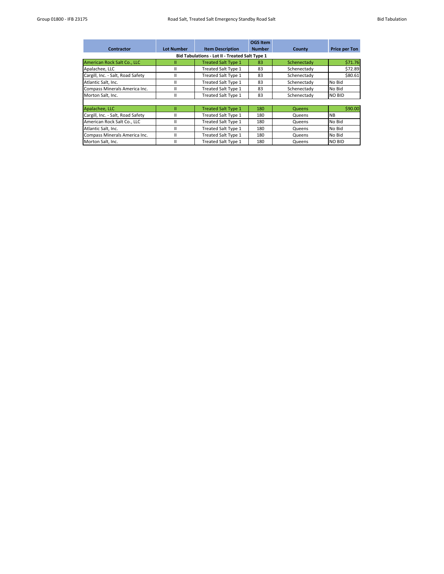|                                   |                   |                                                       | <b>OGS Item</b> |               |                      |
|-----------------------------------|-------------------|-------------------------------------------------------|-----------------|---------------|----------------------|
| <b>Contractor</b>                 | <b>Lot Number</b> | <b>Item Description</b>                               | <b>Number</b>   | County        | <b>Price per Ton</b> |
|                                   |                   | <b>Bid Tabulations - Lot II - Treated Salt Type 1</b> |                 |               |                      |
| American Rock Salt Co., LLC       | н                 | <b>Treated Salt Type 1</b>                            | 83              | Schenectady   | \$71.76              |
| Apalachee, LLC                    |                   | <b>Treated Salt Type 1</b>                            | 83              | Schenectady   | \$72.89              |
| Cargill, Inc. - Salt, Road Safety |                   | <b>Treated Salt Type 1</b>                            | 83              | Schenectady   | \$80.61              |
| Atlantic Salt, Inc.               | н                 | Treated Salt Type 1                                   | 83              | Schenectady   | No Bid               |
| Compass Minerals America Inc.     |                   | Treated Salt Type 1                                   | 83              | Schenectady   | No Bid               |
| Morton Salt, Inc.                 | н                 | <b>Treated Salt Type 1</b>                            | 83              | Schenectady   | <b>NO BID</b>        |
|                                   |                   |                                                       |                 |               |                      |
| Apalachee, LLC                    | Ш                 | <b>Treated Salt Type 1</b>                            | 180             | <b>Queens</b> | \$90.00              |
| Cargill, Inc. - Salt, Road Safety | н                 | <b>Treated Salt Type 1</b>                            | 180             | Queens        | <b>NB</b>            |
| American Rock Salt Co., LLC       | н                 | <b>Treated Salt Type 1</b>                            | 180             | Queens        | No Bid               |
| Atlantic Salt, Inc.               |                   | Treated Salt Type 1                                   | 180             | Queens        | No Bid               |
| Compass Minerals America Inc.     | н                 | <b>Treated Salt Type 1</b>                            | 180             | Queens        | No Bid               |
| Morton Salt, Inc.                 |                   | Treated Salt Type 1                                   | 180             | Queens        | <b>NO BID</b>        |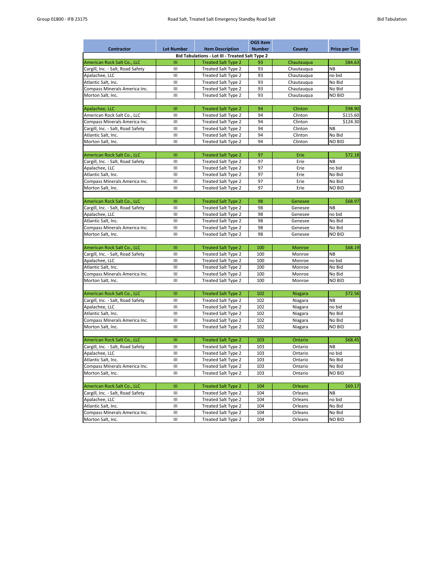|                                                        |                    |                            | <b>OGS Item</b> |                |                      |  |  |  |
|--------------------------------------------------------|--------------------|----------------------------|-----------------|----------------|----------------------|--|--|--|
| <b>Contractor</b>                                      | <b>Lot Number</b>  | <b>Item Description</b>    | <b>Number</b>   | <b>County</b>  | <b>Price per Ton</b> |  |  |  |
| <b>Bid Tabulations - Lot III - Treated Salt Type 2</b> |                    |                            |                 |                |                      |  |  |  |
| American Rock Salt Co., LLC                            | Ш                  | <b>Treated Salt Type 2</b> | 93              | Chautauqua     | \$84.63              |  |  |  |
| Cargill, Inc. - Salt, Road Safety                      | $\mathbf{III}$     | <b>Treated Salt Type 2</b> | 93              | Chautauqua     | <b>NB</b>            |  |  |  |
| Apalachee, LLC                                         | III                | <b>Treated Salt Type 2</b> | 93              | Chautauqua     | no bid               |  |  |  |
| Atlantic Salt, Inc.                                    | Ш                  | <b>Treated Salt Type 2</b> | 93              | Chautauqua     | No Bid               |  |  |  |
| Compass Minerals America Inc.                          | Ш                  | Treated Salt Type 2        | 93              | Chautauqua     | No Bid               |  |  |  |
| Morton Salt, Inc.                                      | $\mathbf{III}$     | <b>Treated Salt Type 2</b> | 93              | Chautauqua     | <b>NO BID</b>        |  |  |  |
|                                                        |                    |                            |                 |                |                      |  |  |  |
| Apalachee, LLC                                         | Ш                  | <b>Treated Salt Type 2</b> | 94              | Clinton        | \$98.90              |  |  |  |
| American Rock Salt Co., LLC                            | Ш                  | <b>Treated Salt Type 2</b> | 94              | Clinton        | \$115.60             |  |  |  |
| Compass Minerals America Inc.                          | III                | Treated Salt Type 2        | 94              | Clinton        | \$124.30             |  |  |  |
| Cargill, Inc. - Salt, Road Safety                      | $\mathbf{III}$     | <b>Treated Salt Type 2</b> | 94              | Clinton        | <b>NB</b>            |  |  |  |
| Atlantic Salt, Inc.                                    | Ш                  | <b>Treated Salt Type 2</b> | 94              | Clinton        | No Bid               |  |  |  |
| Morton Salt, Inc.                                      | $\mathbf{III}$     | <b>Treated Salt Type 2</b> | 94              | Clinton        | <b>NO BID</b>        |  |  |  |
|                                                        |                    |                            |                 |                |                      |  |  |  |
| American Rock Salt Co., LLC                            | Ш                  | <b>Treated Salt Type 2</b> | 97              | Erie           | \$72.18              |  |  |  |
| Cargill, Inc. - Salt, Road Safety                      | III                | Treated Salt Type 2        | 97              | Erie           | <b>NB</b>            |  |  |  |
| Apalachee, LLC                                         | Ш                  | <b>Treated Salt Type 2</b> | 97              | Erie           | no bid               |  |  |  |
| Atlantic Salt, Inc.                                    | $\mathbf{III}$     | <b>Treated Salt Type 2</b> | 97              | Erie           | No Bid               |  |  |  |
| Compass Minerals America Inc.                          | Ш                  | Treated Salt Type 2        | 97              | Erie           | No Bid               |  |  |  |
| Morton Salt, Inc.                                      | III                | <b>Treated Salt Type 2</b> | 97              | Erie           | <b>NO BID</b>        |  |  |  |
|                                                        |                    |                            |                 |                |                      |  |  |  |
| American Rock Salt Co., LLC                            | Ш                  | <b>Treated Salt Type 2</b> | 98              | Genesee        | \$68.97              |  |  |  |
| Cargill, Inc. - Salt, Road Safety                      | $\mathbf{III}$     | Treated Salt Type 2        | 98              | Genesee        | <b>NB</b>            |  |  |  |
| Apalachee, LLC                                         | Ш                  | Treated Salt Type 2        | 98              | Genesee        | no bid               |  |  |  |
| Atlantic Salt, Inc.                                    | III                | Treated Salt Type 2        | 98              | Genesee        | No Bid               |  |  |  |
| Compass Minerals America Inc.                          | $\mathbf{III}$     | <b>Treated Salt Type 2</b> | 98              | Genesee        | No Bid               |  |  |  |
| Morton Salt, Inc.                                      | III                | <b>Treated Salt Type 2</b> | 98              | Genesee        | <b>NO BID</b>        |  |  |  |
|                                                        |                    |                            |                 |                |                      |  |  |  |
| American Rock Salt Co., LLC                            | Ш                  | <b>Treated Salt Type 2</b> | 100             | <b>Monroe</b>  | \$68.19              |  |  |  |
| Cargill, Inc. - Salt, Road Safety                      | Ш                  | <b>Treated Salt Type 2</b> | 100             | Monroe         | <b>NB</b>            |  |  |  |
| Apalachee, LLC                                         | Ш                  | Treated Salt Type 2        | 100             | Monroe         | no bid               |  |  |  |
| Atlantic Salt, Inc.                                    | Ш                  | Treated Salt Type 2        | 100             | Monroe         | No Bid               |  |  |  |
| Compass Minerals America Inc.                          | Ш                  | <b>Treated Salt Type 2</b> | 100             | Monroe         | No Bid               |  |  |  |
| Morton Salt, Inc.                                      | Ш                  | Treated Salt Type 2        | 100             | Monroe         | NO BID               |  |  |  |
|                                                        |                    |                            |                 |                |                      |  |  |  |
| American Rock Salt Co., LLC                            | Ш                  | <b>Treated Salt Type 2</b> | 102             | Niagara        | \$72.56              |  |  |  |
| Cargill, Inc. - Salt, Road Safety                      | Ш                  | Treated Salt Type 2        | 102             | Niagara        | <b>NB</b>            |  |  |  |
| Apalachee, LLC                                         | Ш                  | <b>Treated Salt Type 2</b> | 102             | Niagara        | no bid               |  |  |  |
| Atlantic Salt, Inc.                                    | Ш                  | Treated Salt Type 2        | 102             | Niagara        | No Bid               |  |  |  |
| Compass Minerals America Inc.                          | Ш                  | Treated Salt Type 2        | 102             | Niagara        | No Bid               |  |  |  |
| Morton Salt, Inc.                                      | $\mathop{\rm III}$ | Treated Salt Type 2        | 102             | Niagara        | NO BID               |  |  |  |
|                                                        |                    |                            |                 |                |                      |  |  |  |
| American Rock Salt Co., LLC                            | Ш                  | <b>Treated Salt Type 2</b> | 103             | Ontario        | \$68.45              |  |  |  |
| Cargill, Inc. - Salt, Road Safety                      | Ш                  | Treated Salt Type 2        | 103             | Ontario        | <b>NB</b>            |  |  |  |
| Apalachee, LLC                                         | Ш                  | <b>Treated Salt Type 2</b> | 103             | Ontario        | no bid               |  |  |  |
| Atlantic Salt, Inc.                                    | Ш                  | Treated Salt Type 2        | 103             | Ontario        | No Bid               |  |  |  |
| Compass Minerals America Inc.                          | III                | <b>Treated Salt Type 2</b> | 103             | Ontario        | No Bid               |  |  |  |
| Morton Salt, Inc.                                      | Ш                  | <b>Treated Salt Type 2</b> | 103             | Ontario        | <b>NO BID</b>        |  |  |  |
|                                                        |                    |                            |                 |                |                      |  |  |  |
| American Rock Salt Co., LLC                            | Ш                  | <b>Treated Salt Type 2</b> | 104             | <b>Orleans</b> | \$69.17              |  |  |  |
| Cargill, Inc. - Salt, Road Safety                      | Ш                  | Treated Salt Type 2        | 104             | Orleans        | <b>NB</b>            |  |  |  |
| Apalachee, LLC                                         | $\mathbf{III}$     | <b>Treated Salt Type 2</b> | 104             | Orleans        | no bid               |  |  |  |
| Atlantic Salt, Inc.                                    | Ш                  | <b>Treated Salt Type 2</b> | 104             | Orleans        | No Bid               |  |  |  |
|                                                        |                    |                            |                 |                |                      |  |  |  |

| Compass<br>s Minerals America Inc. . | Ш | reated Salt $\tau$<br>I vpe 2  | 104 | Orleans | <b>Bid</b><br><b>No</b> |
|--------------------------------------|---|--------------------------------|-----|---------|-------------------------|
| Morton<br>Salt.<br>-Inc.             | Ш | freated Salt $\tau$<br>l vpe 2 | 104 | Orleans | <b>NO BID</b>           |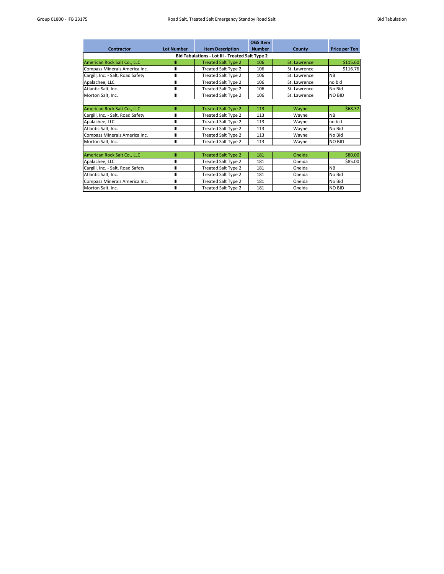|                                                        |                   |                            | <b>OGS Item</b> |               |                      |  |  |  |  |
|--------------------------------------------------------|-------------------|----------------------------|-----------------|---------------|----------------------|--|--|--|--|
| <b>Contractor</b>                                      | <b>Lot Number</b> | <b>Item Description</b>    | <b>Number</b>   | <b>County</b> | <b>Price per Ton</b> |  |  |  |  |
| <b>Bid Tabulations - Lot III - Treated Salt Type 2</b> |                   |                            |                 |               |                      |  |  |  |  |
| American Rock Salt Co., LLC                            | Ш                 | <b>Treated Salt Type 2</b> | 106             | St. Lawrence  | \$115.60             |  |  |  |  |
| Compass Minerals America Inc.                          | III               | Treated Salt Type 2        | 106             | St. Lawrence  | \$116.76             |  |  |  |  |
| Cargill, Inc. - Salt, Road Safety                      | Ш                 | <b>Treated Salt Type 2</b> | 106             | St. Lawrence  | <b>NB</b>            |  |  |  |  |
| Apalachee, LLC                                         | III               | <b>Treated Salt Type 2</b> | 106             | St. Lawrence  | no bid               |  |  |  |  |
| Atlantic Salt, Inc.                                    | III               | <b>Treated Salt Type 2</b> | 106             | St. Lawrence  | No Bid               |  |  |  |  |
| Morton Salt, Inc.                                      | Ш                 | <b>Treated Salt Type 2</b> | 106             | St. Lawrence  | <b>NO BID</b>        |  |  |  |  |
|                                                        |                   |                            |                 |               |                      |  |  |  |  |
| American Rock Salt Co., LLC                            | Ш                 | <b>Treated Salt Type 2</b> | 113             | Wayne         | \$68.37              |  |  |  |  |
| Cargill, Inc. - Salt, Road Safety                      | Ш                 | Treated Salt Type 2        | 113             | Wayne         | <b>NB</b>            |  |  |  |  |
| Apalachee, LLC                                         | $\mathbf{III}$    | Treated Salt Type 2        | 113             | Wayne         | no bid               |  |  |  |  |
| Atlantic Salt, Inc.                                    | III               | <b>Treated Salt Type 2</b> | 113             | Wayne         | No Bid               |  |  |  |  |
| Compass Minerals America Inc.                          | $\mathbf{III}$    | Treated Salt Type 2        | 113             | Wayne         | No Bid               |  |  |  |  |
| Morton Salt, Inc.                                      | $\mathbf{III}$    | <b>Treated Salt Type 2</b> | 113             | Wayne         | <b>NO BID</b>        |  |  |  |  |
|                                                        |                   |                            |                 |               |                      |  |  |  |  |
| American Rock Salt Co., LLC                            | Ш                 | <b>Treated Salt Type 2</b> | 181             | Oneida        | \$80.00              |  |  |  |  |
| Apalachee, LLC                                         | III               | <b>Treated Salt Type 2</b> | 181             | Oneida        | \$85.00              |  |  |  |  |
| Cargill, Inc. - Salt, Road Safety                      | Ш                 | Treated Salt Type 2        | 181             | Oneida        | <b>NB</b>            |  |  |  |  |
| Atlantic Salt, Inc.                                    | $\mathbf{III}$    | <b>Treated Salt Type 2</b> | 181             | Oneida        | No Bid               |  |  |  |  |
| Compass Minerals America Inc.                          | III               | <b>Treated Salt Type 2</b> | 181             | Oneida        | No Bid               |  |  |  |  |
| Morton Salt, Inc.                                      | $\mathbf{III}$    | Treated Salt Type 2        | 181             | Oneida        | <b>NO BID</b>        |  |  |  |  |